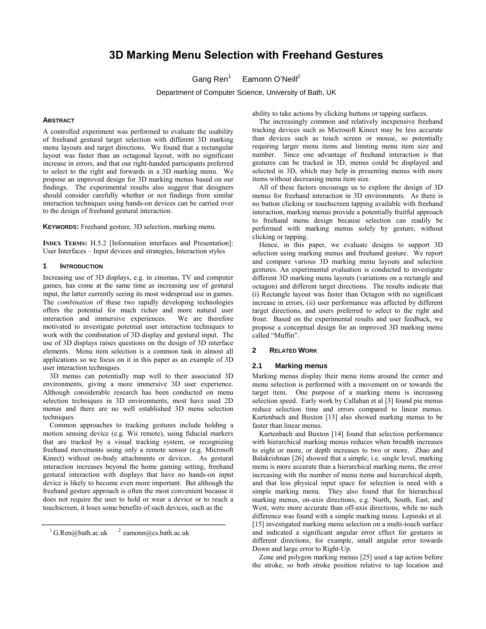# **3D Marking Menu Selection with Freehand Gestures**

Gang Ren $<sup>1</sup>$ </sup> Eamonn O'Neill<sup>2</sup>

Department of Computer Science, University of Bath, UK

### **ABSTRACT**

A controlled experiment was performed to evaluate the usability of freehand gestural target selection with different 3D marking menu layouts and target directions. We found that a rectangular layout was faster than an octagonal layout, with no significant increase in errors, and that our right-handed participants preferred to select to the right and forwards in a 3D marking menu. We propose an improved design for 3D marking menus based on our findings. The experimental results also suggest that designers should consider carefully whether or not findings from similar interaction techniques using hands-on devices can be carried over to the design of freehand gestural interaction.

**KEYWORDS:** Freehand gesture, 3D selection, marking menu.

**INDEX TERMS:** H.5.2 [Information interfaces and Presentation]: User Interfaces – Input devices and strategies, Interaction styles

### **1 INTRODUCTION**

Increasing use of 3D displays, e.g. in cinemas, TV and computer games, has come at the same time as increasing use of gestural input, the latter currently seeing its most widespread use in games. The *combination* of these two rapidly developing technologies offers the potential for much richer and more natural user interaction and immersive experiences. We are therefore motivated to investigate potential user interaction techniques to work with the combination of 3D display and gestural input. The use of 3D displays raises questions on the design of 3D interface elements. Menu item selection is a common task in almost all applications so we focus on it in this paper as an example of 3D user interaction techniques.

3D menus can potentially map well to their associated 3D environments, giving a more immersive 3D user experience. Although considerable research has been conducted on menu selection techniques in 3D environments, most have used 2D menus and there are no well established 3D menu selection techniques.

Common approaches to tracking gestures include holding a motion sensing device (e.g. Wii remote), using fiducial markers that are tracked by a visual tracking system, or recognizing freehand movements using only a remote sensor (e.g. Microsoft Kinect) without on-body attachments or devices. As gestural interaction increases beyond the home gaming setting, freehand gestural interaction with displays that have no hands-on input device is likely to become even more important. But although the freehand gesture approach is often the most convenient because it does not require the user to hold or wear a device or to reach a touchscreen, it loses some benefits of such devices, such as the

<sup>1</sup> [G.Ren@bath.ac.uk](mailto:1%20G.Ren@bath.ac.uk)  $^2$  eamonn@cs.bath.ac.uk

ability to take actions by clicking buttons or tapping surfaces.

The increasingly common and relatively inexpensive freehand tracking devices such as Microsoft Kinect may be less accurate than devices such as touch screen or mouse, so potentially requiring larger menu items and limiting menu item size and number. Since one advantage of freehand interaction is that gestures can be tracked in 3D, menus could be displayed and selected in 3D, which may help in presenting menus with more items without decreasing menu item size.

All of these factors encourage us to explore the design of 3D menus for freehand interaction in 3D environments. As there is no button clicking or touchscreen tapping available with freehand interaction, marking menus provide a potentially fruitful approach to freehand menu design because selection can readily be performed with marking menus solely by gesture, without clicking or tapping.

Hence, in this paper, we evaluate designs to support 3D selection using marking menus and freehand gesture. We report and compare various 3D marking menu layouts and selection gestures. An experimental evaluation is conducted to investigate different 3D marking menu layouts (variations on a rectangle and octagon) and different target directions. The results indicate that (i) Rectangle layout was faster than Octagon with no significant increase in errors, (ii) user performance was affected by different target directions, and users preferred to select to the right and front. Based on the experimental results and user feedback, we propose a conceptual design for an improved 3D marking menu called "Muffin".

### **2 RELATED WORK**

# **2.1 Marking menus**

Marking menus display their menu items around the center and menu selection is performed with a movement on or towards the target item. One purpose of a marking menu is increasing selection speed. Early work by Callahan et al [3] found pie menus reduce selection time and errors compared to linear menus. Kurtenbach and Buxton [13] also showed marking menus to be faster than linear menus.

Kurtenbach and Buxton [14] found that selection performance with hierarchical marking menus reduces when breadth increases to eight or more, or depth increases to two or more. Zhao and Balakrishnan [26] showed that a simple, i.e. single level, marking menu is more accurate than a hierarchical marking menu, the error increasing with the number of menu items and hierarchical depth, and that less physical input space for selection is need with a simple marking menu. They also found that for hierarchical marking menus, on-axis directions, e.g. North, South, East, and West, were more accurate than off-axis directions, while no such difference was found with a simple marking menu. Lepinski et al. [15] investigated marking menu selection on a multi-touch surface and indicated a significant angular error effect for gestures in different directions, for example, small angular error towards Down and large error to Right-Up.

Zone and polygon marking menus [25] used a tap action before the stroke, so both stroke position relative to tap location and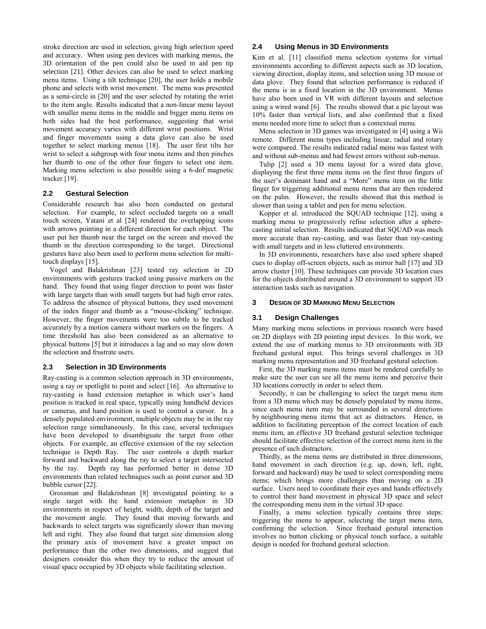stroke direction are used in selection, giving high selection speed and accuracy. When using pen devices with marking menus, the 3D orientation of the pen could also be used to aid pen tip selection [21]. Other devices can also be used to select marking menu items. Using a tilt technique [20], the user holds a mobile phone and selects with wrist movement. The menu was presented as a semi-circle in [20] and the user selected by rotating the wrist to the item angle. Results indicated that a non-linear menu layout with smaller menu items in the middle and bigger menu items on both sides had the best performance, suggesting that wrist movement accuracy varies with different wrist positions. Wrist and finger movements using a data glove can also be used together to select marking menus [18]. The user first tilts her wrist to select a subgroup with four menu items and then pinches her thumb to one of the other four fingers to select one item. Marking menu selection is also possible using a 6-dof magnetic tracker [19].

# **2.2 Gestural Selection**

Considerable research has also been conducted on gestural selection. For example, to select occluded targets on a small touch screen, Yatani et al [24] rendered the overlapping icons with arrows pointing in a different direction for each object. The user put her thumb near the target on the screen and moved the thumb in the direction corresponding to the target. Directional gestures have also been used to perform menu selection for multitouch displays [15].

Vogel and Balakrishnan [23] tested ray selection in 2D environments with gestures tracked using passive markers on the hand. They found that using finger direction to point was faster with large targets than with small targets but had high error rates. To address the absence of physical buttons, they used movement of the index finger and thumb as a "mouse-clicking" technique. However, the finger movements were too subtle to be tracked accurately by a motion camera without markers on the fingers. A time threshold has also been considered as an alternative to physical buttons [5] but it introduces a lag and so may slow down the selection and frustrate users.

### **2.3 Selection in 3D Environments**

Ray-casting is a common selection approach in 3D environments, using a ray or spotlight to point and select [16]. An alternative to ray-casting is hand extension metaphor in which user's hand position is tracked in real space, typically using handheld devices or cameras, and hand position is used to control a cursor. In a densely populated environment, multiple objects may be in the ray selection range simultaneously. In this case, several techniques have been developed to disambiguate the target from other objects. For example, an effective extension of the ray selection technique is Depth Ray. The user controls a depth marker forward and backward along the ray to select a target intersected by the ray. Depth ray has performed better in dense 3D environments than related techniques such as point cursor and 3D bubble cursor [22].

Grossman and Balakrishnan [8] investigated pointing to a single target with the hand extension metaphor in 3D environments in respect of height, width, depth of the target and the movement angle. They found that moving forwards and backwards to select targets was significantly slower than moving left and right. They also found that target size dimension along the primary axis of movement have a greater impact on performance than the other two dimensions, and suggest that designers consider this when they try to reduce the amount of visual space occupied by 3D objects while facilitating selection.

# **2.4 Using Menus in 3D Environments**

Kim et al. [11] classified menu selection systems for virtual environments according to different aspects such as 3D location, viewing direction, display items, and selection using 3D mouse or data glove. They found that selection performance is reduced if the menu is in a fixed location in the 3D environment. Menus have also been used in VR with different layouts and selection using a wired wand [6]. The results showed that a pie layout was 10% faster than vertical lists, and also confirmed that a fixed menu needed more time to select than a contextual menu.

Menu selection in 3D games was investigated in [4] using a Wii remote. Different menu types including linear, radial and rotary were compared. The results indicated radial menu was fastest with and without sub-menus and had fewest errors without sub-menus.

Tulip [2] used a 3D menu layout for a wired data glove, displaying the first three menu items on the first three fingers of the user's dominant hand and a "More" menu item on the little finger for triggering additional menu items that are then rendered on the palm. However, the results showed that this method is slower than using a tablet and pen for menu selection.

Kopper et al. introduced the SQUAD technique [12], using a marking menu to progressively refine selection after a spherecasting initial selection. Results indicated that SQUAD was much more accurate than ray-casting, and was faster than ray-casting with small targets and in less cluttered environments.

In 3D environments, researchers have also used sphere shaped cues to display off-screen objects, such as mirror ball [17] and 3D arrow cluster [10]. These techniques can provide 3D location cues for the objects distributed around a 3D environment to support 3D interaction tasks such as navigation.

### **3 DESIGN OF 3D MARKING MENU SELECTION**

### **3.1 Design Challenges**

Many marking menu selections in previous research were based on 2D displays with 2D pointing input devices. In this work, we extend the use of marking menus to 3D environments with 3D freehand gestural input. This brings several challenges in 3D marking menu representation and 3D freehand gestural selection.

First, the 3D marking menu items must be rendered carefully to make sure the user can see all the menu items and perceive their 3D locations correctly in order to select them.

Secondly, it can be challenging to select the target menu item from a 3D menu which may be densely populated by menu items, since each menu item may be surrounded in several directions by neighbouring menu items that act as distractors. Hence, in addition to facilitating perception of the correct location of each menu item, an effective 3D freehand gestural selection technique should facilitate effective selection of the correct menu item in the presence of such distractors.

Thirdly, as the menu items are distributed in three dimensions, hand movement in each direction (e.g. up, down, left, right, forward and backward) may be used to select corresponding menu items; which brings more challenges than moving on a 2D surface. Users need to coordinate their eyes and hands effectively to control their hand movement in physical 3D space and select the corresponding menu item in the virtual 3D space.

Finally, a menu selection typically contains three steps: triggering the menu to appear, selecting the target menu item, confirming the selection. Since freehand gestural interaction involves no button clicking or physical touch surface, a suitable design is needed for freehand gestural selection.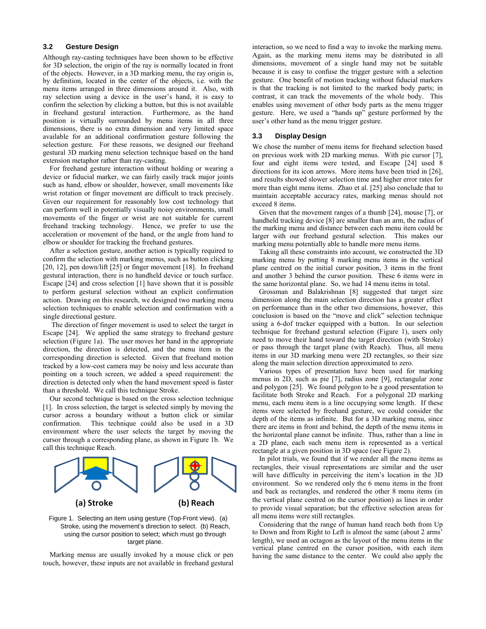# **3.2 Gesture Design**

Although ray-casting techniques have been shown to be effective for 3D selection, the origin of the ray is normally located in front of the objects. However, in a 3D marking menu, the ray origin is, by definition, located in the center of the objects, i.e. with the menu items arranged in three dimensions around it. Also, with ray selection using a device in the user's hand, it is easy to confirm the selection by clicking a button, but this is not available in freehand gestural interaction. Furthermore, as the hand position is virtually surrounded by menu items in all three dimensions, there is no extra dimension and very limited space available for an additional confirmation gesture following the selection gesture. For these reasons, we designed our freehand gestural 3D marking menu selection technique based on the hand extension metaphor rather than ray-casting.

For freehand gesture interaction without holding or wearing a device or fiducial marker, we can fairly easily track major joints such as hand, elbow or shoulder, however, small movements like wrist rotation or finger movement are difficult to track precisely. Given our requirement for reasonably low cost technology that can perform well in potentially visually noisy environments, small movements of the finger or wrist are not suitable for current freehand tracking technology. Hence, we prefer to use the acceleration or movement of the hand, or the angle from hand to elbow or shoulder for tracking the freehand gestures.

After a selection gesture, another action is typically required to confirm the selection with marking menus, such as button clicking [20, 12], pen down/lift [25] or finger movement [18]. In freehand gestural interaction, there is no handheld device or touch surface. Escape [24] and cross selection [1] have shown that it is possible to perform gestural selection without an explicit confirmation action. Drawing on this research, we designed two marking menu selection techniques to enable selection and confirmation with a single directional gesture.

The direction of finger movement is used to select the target in Escape [24]. We applied the same strategy to freehand gesture selection (Figure 1a). The user moves her hand in the appropriate direction, the direction is detected, and the menu item in the corresponding direction is selected. Given that freehand motion tracked by a low-cost camera may be noisy and less accurate than pointing on a touch screen, we added a speed requirement: the direction is detected only when the hand movement speed is faster than a threshold. We call this technique Stroke.

Our second technique is based on the cross selection technique [1]. In cross selection, the target is selected simply by moving the cursor across a boundary without a button click or similar confirmation. This technique could also be used in a 3D environment where the user selects the target by moving the cursor through a corresponding plane, as shown in Figure 1b. We call this technique Reach.



### Figure 1. Selecting an item using gesture (Top-Front view). (a) Stroke, using the movement's direction to select. (b) Reach, using the cursor position to select; which must go through target plane.

Marking menus are usually invoked by a mouse click or pen touch, however, these inputs are not available in freehand gestural interaction, so we need to find a way to invoke the marking menu. Again, as the marking menu items may be distributed in all dimensions, movement of a single hand may not be suitable because it is easy to confuse the trigger gesture with a selection gesture. One benefit of motion tracking without fiducial markers is that the tracking is not limited to the marked body parts; in contrast, it can track the movements of the whole body. This enables using movement of other body parts as the menu trigger gesture. Here, we used a "hands up" gesture performed by the user's other hand as the menu trigger gesture.

# **3.3 Display Design**

We chose the number of menu items for freehand selection based on previous work with 2D marking menus. With pie cursor [7], four and eight items were tested, and Escape [24] used 8 directions for its icon arrows. More items have been tried in [26], and results showed slower selection time and higher error rates for more than eight menu items. Zhao et al. [25] also conclude that to maintain acceptable accuracy rates, marking menus should not exceed 8 items.

Given that the movement ranges of a thumb [24], mouse [7], or handheld tracking device [8] are smaller than an arm, the radius of the marking menu and distance between each menu item could be larger with our freehand gestural selection. This makes our marking menu potentially able to handle more menu items.

Taking all these constraints into account, we constructed the 3D marking menu by putting 8 marking menu items in the vertical plane centred on the initial cursor position, 3 items in the front and another 3 behind the cursor position. These 6 items were in the same horizontal plane. So, we had 14 menu items in total.

Grossman and Balakrishnan [8] suggested that target size dimension along the main selection direction has a greater effect on performance than in the other two dimensions, however, this conclusion is based on the "move and click" selection technique using a 6-dof tracker equipped with a button. In our selection technique for freehand gestural selection (Figure 1), users only need to move their hand toward the target direction (with Stroke) or pass through the target plane (with Reach). Thus, all menu items in our 3D marking menu were 2D rectangles, so their size along the main selection direction approximated to zero.

Various types of presentation have been used for marking menus in 2D, such as pie [7], radius zone [9], rectangular zone and polygon [25]. We found polygon to be a good presentation to facilitate both Stroke and Reach. For a polygonal 2D marking menu, each menu item is a line occupying some length. If these items were selected by freehand gesture, we could consider the depth of the items as infinite. But for a 3D marking menu, since there are items in front and behind, the depth of the menu items in the horizontal plane cannot be infinite. Thus, rather than a line in a 2D plane, each such menu item is represented as a vertical rectangle at a given position in 3D space (see Figure 2).

In pilot trials, we found that if we render all the menu items as rectangles, their visual representations are similar and the user will have difficulty in perceiving the item's location in the 3D environment. So we rendered only the 6 menu items in the front and back as rectangles, and rendered the other 8 menu items (in the vertical plane centred on the cursor position) as lines in order to provide visual separation; but the effective selection areas for all menu items were still rectangles.

Considering that the range of human hand reach both from Up to Down and from Right to Left is almost the same (about 2 arms' length), we used an octagon as the layout of the menu items in the vertical plane centred on the cursor position, with each item having the same distance to the center. We could also apply the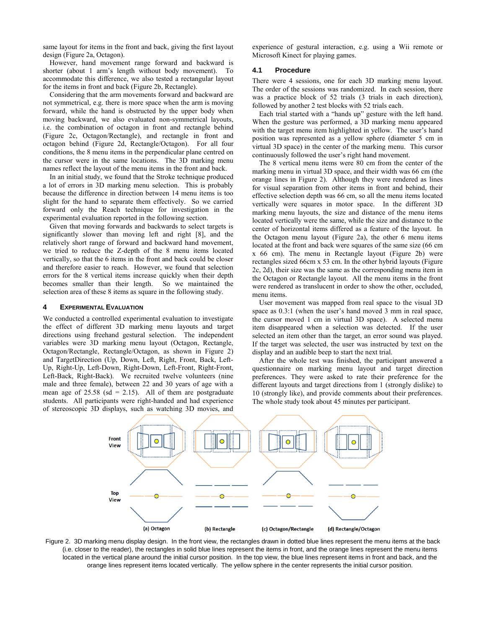same layout for items in the front and back, giving the first layout design (Figure 2a, Octagon).

However, hand movement range forward and backward is shorter (about 1 arm's length without body movement). To accommodate this difference, we also tested a rectangular layout for the items in front and back (Figure 2b, Rectangle).

Considering that the arm movements forward and backward are not symmetrical, e.g. there is more space when the arm is moving forward, while the hand is obstructed by the upper body when moving backward, we also evaluated non-symmetrical layouts, i.e. the combination of octagon in front and rectangle behind (Figure 2c, Octagon/Rectangle), and rectangle in front and octagon behind (Figure 2d, Rectangle/Octagon). For all four conditions, the 8 menu items in the perpendicular plane centred on the cursor were in the same locations. The 3D marking menu names reflect the layout of the menu items in the front and back.

In an initial study, we found that the Stroke technique produced a lot of errors in 3D marking menu selection. This is probably because the difference in direction between 14 menu items is too slight for the hand to separate them effectively. So we carried forward only the Reach technique for investigation in the experimental evaluation reported in the following section.

Given that moving forwards and backwards to select targets is significantly slower than moving left and right [8], and the relatively short range of forward and backward hand movement, we tried to reduce the Z-depth of the 8 menu items located vertically, so that the 6 items in the front and back could be closer and therefore easier to reach. However, we found that selection errors for the 8 vertical items increase quickly when their depth becomes smaller than their length. So we maintained the selection area of these 8 items as square in the following study.

#### **4 EXPERIMENTAL EVALUATION**

We conducted a controlled experimental evaluation to investigate the effect of different 3D marking menu layouts and target directions using freehand gestural selection. The independent variables were 3D marking menu layout (Octagon, Rectangle, Octagon/Rectangle, Rectangle/Octagon, as shown in Figure 2) and TargetDirection (Up, Down, Left, Right, Front, Back, Left-Up, Right-Up, Left-Down, Right-Down, Left-Front, Right-Front, Left-Back, Right-Back). We recruited twelve volunteers (nine male and three female), between 22 and 30 years of age with a mean age of  $25.58$  (sd = 2.15). All of them are postgraduate students. All participants were right-handed and had experience of stereoscopic 3D displays, such as watching 3D movies, and

experience of gestural interaction, e.g. using a Wii remote or Microsoft Kinect for playing games.

### **4.1 Procedure**

There were 4 sessions, one for each 3D marking menu layout. The order of the sessions was randomized. In each session, there was a practice block of 52 trials (3 trials in each direction), followed by another 2 test blocks with 52 trials each.

Each trial started with a "hands up" gesture with the left hand. When the gesture was performed, a 3D marking menu appeared with the target menu item highlighted in yellow. The user's hand position was represented as a yellow sphere (diameter 5 cm in virtual 3D space) in the center of the marking menu. This cursor continuously followed the user's right hand movement.

The 8 vertical menu items were 80 cm from the center of the marking menu in virtual 3D space, and their width was 66 cm (the orange lines in Figure 2). Although they were rendered as lines for visual separation from other items in front and behind, their effective selection depth was 66 cm, so all the menu items located vertically were squares in motor space. In the different 3D marking menu layouts, the size and distance of the menu items located vertically were the same, while the size and distance to the center of horizontal items differed as a feature of the layout. In the Octagon menu layout (Figure 2a), the other 6 menu items located at the front and back were squares of the same size (66 cm x 66 cm). The menu in Rectangle layout (Figure 2b) were rectangles sized 66cm x 53 cm. In the other hybrid layouts (Figure 2c, 2d), their size was the same as the corresponding menu item in the Octagon or Rectangle layout. All the menu items in the front were rendered as translucent in order to show the other, occluded, menu items.

User movement was mapped from real space to the visual 3D space as 0.3:1 (when the user's hand moved 3 mm in real space, the cursor moved 1 cm in virtual 3D space). A selected menu item disappeared when a selection was detected. If the user selected an item other than the target, an error sound was played. If the target was selected, the user was instructed by text on the display and an audible beep to start the next trial.

After the whole test was finished, the participant answered a questionnaire on marking menu layout and target direction preferences. They were asked to rate their preference for the different layouts and target directions from 1 (strongly dislike) to 10 (strongly like), and provide comments about their preferences. The whole study took about 45 minutes per participant.



Figure 2. 3D marking menu display design. In the front view, the rectangles drawn in dotted blue lines represent the menu items at the back (i.e. closer to the reader), the rectangles in solid blue lines represent the items in front, and the orange lines represent the menu items located in the vertical plane around the initial cursor position. In the top view, the blue lines represent items in front and back, and the orange lines represent items located vertically. The yellow sphere in the center represents the initial cursor position.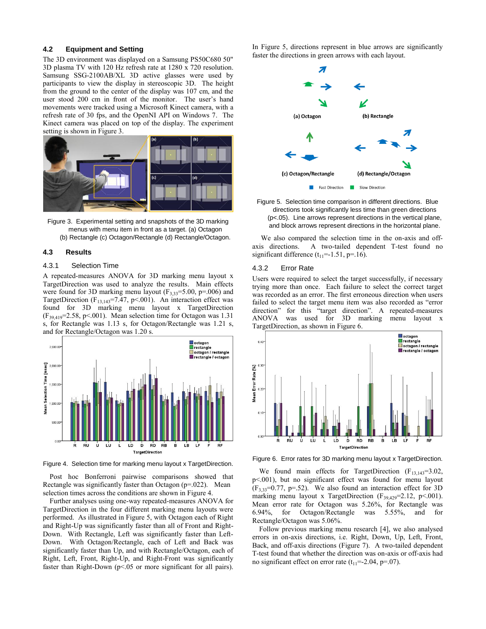#### **4.2 Equipment and Setting**

The 3D environment was displayed on a Samsung PS50C680 50" 3D plasma TV with 120 Hz refresh rate at 1280 x 720 resolution. Samsung SSG-2100AB/XL 3D active glasses were used by participants to view the display in stereoscopic 3D. The height from the ground to the center of the display was 107 cm, and the user stood 200 cm in front of the monitor. The user's hand movements were tracked using a Microsoft Kinect camera, with a refresh rate of 30 fps, and the OpenNI API on Windows 7. The Kinect camera was placed on top of the display. The experiment setting is shown in Figure 3.





#### **4.3 Results**

#### 4.3.1 Selection Time

A repeated-measures ANOVA for 3D marking menu layout x TargetDirection was used to analyze the results. Main effects were found for 3D marking menu layout ( $F_{3,33}$ =5.00, p=.006) and TargetDirection ( $F_{13,143}$ =7.47, p < 001). An interaction effect was found for 3D marking menu layout x TargetDirection  $(F_{39,419}=2.58, p<.001)$ . Mean selection time for Octagon was 1.31 s, for Rectangle was 1.13 s, for Octagon/Rectangle was 1.21 s, and for Rectangle/Octagon was 1.20 s.



Figure 4. Selection time for marking menu layout x TargetDirection.

Post hoc Bonferroni pairwise comparisons showed that Rectangle was significantly faster than Octagon (p=.022). Mean selection times across the conditions are shown in Figure 4.

Further analyses using one-way repeated-measures ANOVA for TargetDirection in the four different marking menu layouts were performed. As illustrated in Figure 5, with Octagon each of Right and Right-Up was significantly faster than all of Front and Right-Down. With Rectangle, Left was significantly faster than Left-Down. With Octagon/Rectangle, each of Left and Back was significantly faster than Up, and with Rectangle/Octagon, each of Right, Left, Front, Right-Up, and Right-Front was significantly faster than Right-Down (p<.05 or more significant for all pairs). In Figure 5, directions represent in blue arrows are significantly faster the directions in green arrows with each layout.





We also compared the selection time in the on-axis and offaxis directions. A two-tailed dependent T-test found no significant difference  $(t_{11}=-1.51, p=.16)$ .

#### 4.3.2 Error Rate

Users were required to select the target successfully, if necessary trying more than once. Each failure to select the correct target was recorded as an error. The first erroneous direction when users failed to select the target menu item was also recorded as "error direction" for this "target direction". A repeated-measures ANOVA was used for 3D marking menu layout x TargetDirection, as shown in Figure 6.



Figure 6. Error rates for 3D marking menu layout x TargetDirection.

We found main effects for TargetDirection  $(F_{13,143}=3.02,$ p<.001), but no significant effect was found for menu layout  $(F_{3,33}=0.77, p=.52)$ . We also found an interaction effect for 3D marking menu layout x TargetDirection ( $F_{39,429}$ =2.12, p<.001). Mean error rate for Octagon was 5.26%, for Rectangle was 6.94%, for Octagon/Rectangle was 5.55%, and for Rectangle/Octagon was 5.06%.

Follow previous marking menu research [4], we also analysed errors in on-axis directions, i.e. Right, Down, Up, Left, Front, Back, and off-axis directions (Figure 7). A two-tailed dependent T-test found that whether the direction was on-axis or off-axis had no significant effect on error rate  $(t_{11}=-2.04, p=.07)$ .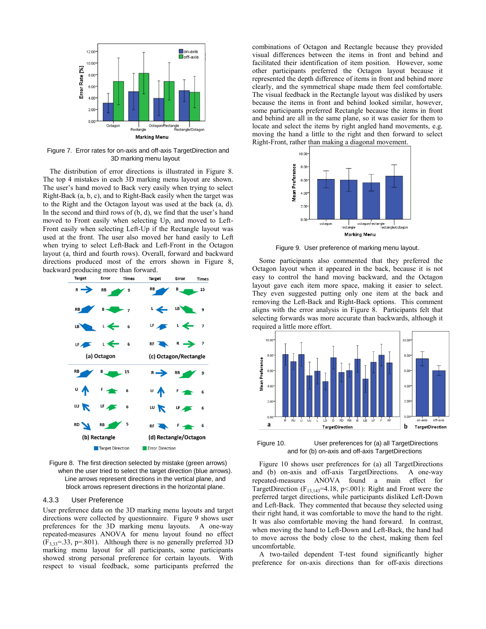

Figure 7. Error rates for on-axis and off-axis TargetDirection and 3D marking menu layout

The distribution of error directions is illustrated in Figure 8. The top 4 mistakes in each 3D marking menu layout are shown. The user's hand moved to Back very easily when trying to select Right-Back (a, b, c), and to Right-Back easily when the target was to the Right and the Octagon layout was used at the back (a, d). In the second and third rows of  $(b, d)$ , we find that the user's hand moved to Front easily when selecting Up, and moved to Left-Front easily when selecting Left-Up if the Rectangle layout was used at the front. The user also moved her hand easily to Left when trying to select Left-Back and Left-Front in the Octagon layout (a, third and fourth rows). Overall, forward and backward directions produced most of the errors shown in Figure 8, backward producing more than forward.



Figure 8. The first direction selected by mistake (green arrows) when the user tried to select the target direction (blue arrows). Line arrows represent directions in the vertical plane, and block arrows represent directions in the horizontal plane.

# 4.3.3 User Preference

User preference data on the 3D marking menu layouts and target directions were collected by questionnaire. Figure 9 shows user preferences for the 3D marking menu layouts. A one-way repeated-measures ANOVA for menu layout found no effect  $(F_{3,33}=33, p=.801)$ . Although there is no generally preferred 3D marking menu layout for all participants, some participants showed strong personal preference for certain layouts. With respect to visual feedback, some participants preferred the

combinations of Octagon and Rectangle because they provided visual differences between the items in front and behind and facilitated their identification of item position. However, some other participants preferred the Octagon layout because it represented the depth difference of items in front and behind more clearly, and the symmetrical shape made them feel comfortable. The visual feedback in the Rectangle layout was disliked by users because the items in front and behind looked similar, however, some participants preferred Rectangle because the items in front and behind are all in the same plane, so it was easier for them to locate and select the items by right angled hand movements, e.g. moving the hand a little to the right and then forward to select Right-Front, rather than making a diagonal movement.



Figure 9. User preference of marking menu layout.

Some participants also commented that they preferred the Octagon layout when it appeared in the back, because it is not easy to control the hand moving backward, and the Octagon layout gave each item more space, making it easier to select. They even suggested putting only one item at the back and removing the Left-Back and Right-Back options. This comment aligns with the error analysis in Figure 8. Participants felt that selecting forwards was more accurate than backwards, although it required a little more effort.



Figure 10. User preferences for (a) all TargetDirections and for (b) on-axis and off-axis TargetDirections

Figure 10 shows user preferences for (a) all TargetDirections and (b) on-axis and off-axis TargetDirections. A one-way repeated-measures ANOVA found a main effect for TargetDirection ( $F_{13,143}$ =4.18, p<.001): Right and Front were the preferred target directions, while participants disliked Left-Down and Left-Back. They commented that because they selected using their right hand, it was comfortable to move the hand to the right. It was also comfortable moving the hand forward. In contrast, when moving the hand to Left-Down and Left-Back, the hand had to move across the body close to the chest, making them feel uncomfortable.

A two-tailed dependent T-test found significantly higher preference for on-axis directions than for off-axis directions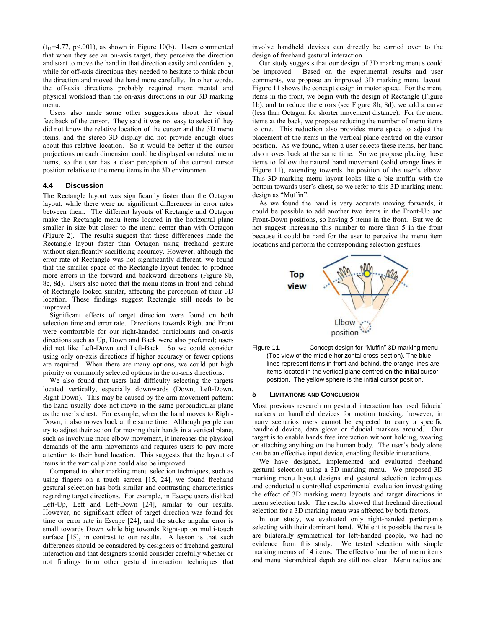$(t_{11}=4.77, p<.001)$ , as shown in Figure 10(b). Users commented that when they see an on-axis target, they perceive the direction and start to move the hand in that direction easily and confidently, while for off-axis directions they needed to hesitate to think about the direction and moved the hand more carefully. In other words, the off-axis directions probably required more mental and physical workload than the on-axis directions in our 3D marking menu.

Users also made some other suggestions about the visual feedback of the cursor. They said it was not easy to select if they did not know the relative location of the cursor and the 3D menu items, and the stereo 3D display did not provide enough clues about this relative location. So it would be better if the cursor projections on each dimension could be displayed on related menu items, so the user has a clear perception of the current cursor position relative to the menu items in the 3D environment.

### **4.4 Discussion**

The Rectangle layout was significantly faster than the Octagon layout, while there were no significant differences in error rates between them. The different layouts of Rectangle and Octagon make the Rectangle menu items located in the horizontal plane smaller in size but closer to the menu center than with Octagon (Figure 2). The results suggest that these differences made the Rectangle layout faster than Octagon using freehand gesture without significantly sacrificing accuracy. However, although the error rate of Rectangle was not significantly different, we found that the smaller space of the Rectangle layout tended to produce more errors in the forward and backward directions (Figure 8b, 8c, 8d). Users also noted that the menu items in front and behind of Rectangle looked similar, affecting the perception of their 3D location. These findings suggest Rectangle still needs to be improved.

Significant effects of target direction were found on both selection time and error rate. Directions towards Right and Front were comfortable for our right-handed participants and on-axis directions such as Up, Down and Back were also preferred; users did not like Left-Down and Left-Back. So we could consider using only on-axis directions if higher accuracy or fewer options are required. When there are many options, we could put high priority or commonly selected options in the on-axis directions.

We also found that users had difficulty selecting the targets located vertically, especially downwards (Down, Left-Down, Right-Down). This may be caused by the arm movement pattern: the hand usually does not move in the same perpendicular plane as the user's chest. For example, when the hand moves to Right-Down, it also moves back at the same time. Although people can try to adjust their action for moving their hands in a vertical plane, such as involving more elbow movement, it increases the physical demands of the arm movements and requires users to pay more attention to their hand location. This suggests that the layout of items in the vertical plane could also be improved.

Compared to other marking menu selection techniques, such as using fingers on a touch screen [15, 24], we found freehand gestural selection has both similar and contrasting characteristics regarding target directions. For example, in Escape users disliked Left-Up, Left and Left-Down [24], similar to our results. However, no significant effect of target direction was found for time or error rate in Escape [24], and the stroke angular error is small towards Down while big towards Right-up on multi-touch surface [15], in contrast to our results. A lesson is that such differences should be considered by designers of freehand gestural interaction and that designers should consider carefully whether or not findings from other gestural interaction techniques that involve handheld devices can directly be carried over to the design of freehand gestural interaction.

Our study suggests that our design of 3D marking menus could be improved. Based on the experimental results and user comments, we propose an improved 3D marking menu layout. Figure 11 shows the concept design in motor space. For the menu items in the front, we begin with the design of Rectangle (Figure 1b), and to reduce the errors (see Figure 8b, 8d), we add a curve (less than Octagon for shorter movement distance). For the menu items at the back, we propose reducing the number of menu items to one. This reduction also provides more space to adjust the placement of the items in the vertical plane centred on the cursor position. As we found, when a user selects these items, her hand also moves back at the same time. So we propose placing these items to follow the natural hand movement (solid orange lines in Figure 11), extending towards the position of the user's elbow. This 3D marking menu layout looks like a big muffin with the bottom towards user's chest, so we refer to this 3D marking menu design as "Muffin".

As we found the hand is very accurate moving forwards, it could be possible to add another two items in the Front-Up and Front-Down positions, so having 5 items in the front. But we do not suggest increasing this number to more than 5 in the front because it could be hard for the user to perceive the menu item locations and perform the corresponding selection gestures.





#### **5 LIMITATIONS AND CONCLUSION**

Most previous research on gestural interaction has used fiducial markers or handheld devices for motion tracking, however, in many scenarios users cannot be expected to carry a specific handheld device, data glove or fiducial markers around. Our target is to enable hands free interaction without holding, wearing or attaching anything on the human body. The user's body alone can be an effective input device, enabling flexible interactions.

We have designed, implemented and evaluated freehand gestural selection using a 3D marking menu. We proposed 3D marking menu layout designs and gestural selection techniques, and conducted a controlled experimental evaluation investigating the effect of 3D marking menu layouts and target directions in menu selection task. The results showed that freehand directional selection for a 3D marking menu was affected by both factors.

In our study, we evaluated only right-handed participants selecting with their dominant hand. While it is possible the results are bilaterally symmetrical for left-handed people, we had no evidence from this study. We tested selection with simple marking menus of 14 items. The effects of number of menu items and menu hierarchical depth are still not clear. Menu radius and